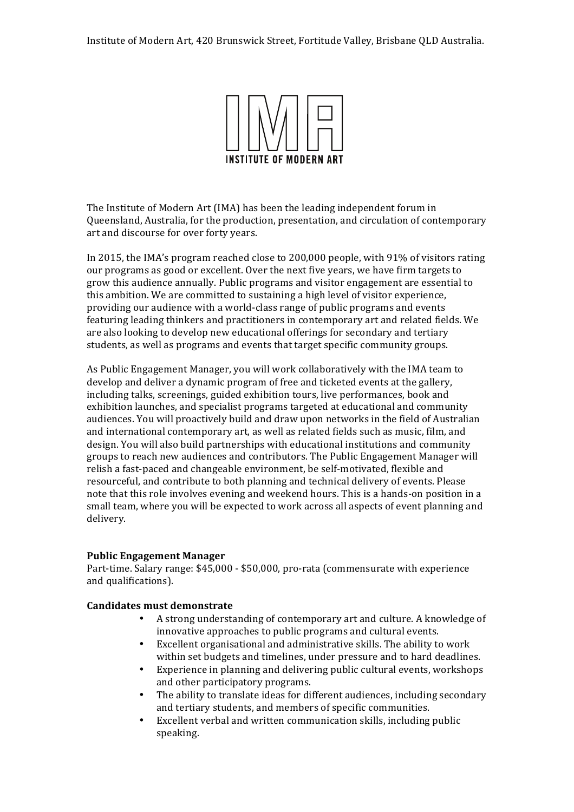

The Institute of Modern Art (IMA) has been the leading independent forum in Queensland, Australia, for the production, presentation, and circulation of contemporary art and discourse for over forty years.

In 2015, the IMA's program reached close to 200,000 people, with 91% of visitors rating our programs as good or excellent. Over the next five years, we have firm targets to grow this audience annually. Public programs and visitor engagement are essential to this ambition. We are committed to sustaining a high level of visitor experience, providing our audience with a world-class range of public programs and events featuring leading thinkers and practitioners in contemporary art and related fields. We are also looking to develop new educational offerings for secondary and tertiary students, as well as programs and events that target specific community groups.

As Public Engagement Manager, you will work collaboratively with the IMA team to develop and deliver a dynamic program of free and ticketed events at the gallery, including talks, screenings, guided exhibition tours, live performances, book and exhibition launches, and specialist programs targeted at educational and community audiences. You will proactively build and draw upon networks in the field of Australian and international contemporary art, as well as related fields such as music, film, and design. You will also build partnerships with educational institutions and community groups to reach new audiences and contributors. The Public Engagement Manager will relish a fast-paced and changeable environment, be self-motivated, flexible and resourceful, and contribute to both planning and technical delivery of events. Please note that this role involves evening and weekend hours. This is a hands-on position in a small team, where you will be expected to work across all aspects of event planning and delivery.

#### **Public Engagement Manager**

Part-time. Salary range: \$45,000 - \$50,000, pro-rata (commensurate with experience and qualifications).

### **Candidates must demonstrate**

- A strong understanding of contemporary art and culture. A knowledge of innovative approaches to public programs and cultural events.
- Excellent organisational and administrative skills. The ability to work within set budgets and timelines, under pressure and to hard deadlines.
- Experience in planning and delivering public cultural events, workshops and other participatory programs.
- The ability to translate ideas for different audiences, including secondary and tertiary students, and members of specific communities.
- Excellent verbal and written communication skills, including public speaking.